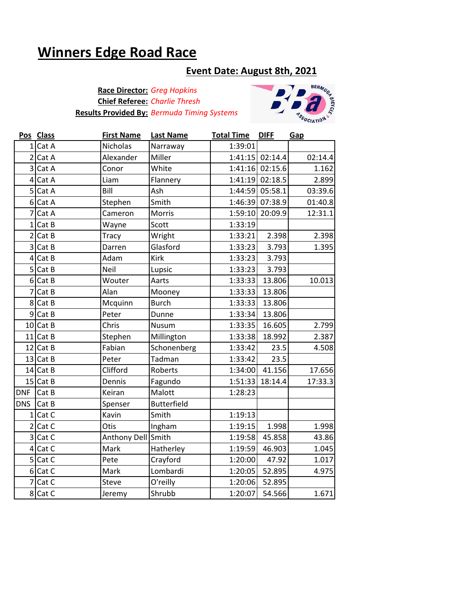## **Winners Edge Road Race**

## **Event Date: August 8th, 2021**

**Race Director:** *Greg Hopkins* **Chief Referee:** *Charlie Thresh* **Results Provided By:** *Bermuda Timing Systems*



|                 | Pos Class   | <b>First Name</b>  | <b>Last Name</b>   | <b>Total Time</b> | <b>DIFF</b>     | Gap     |
|-----------------|-------------|--------------------|--------------------|-------------------|-----------------|---------|
|                 | $1$ Cat A   | Nicholas           | Narraway           | 1:39:01           |                 |         |
|                 | $2$ Cat A   | Alexander          | Miller             |                   | 1:41:15 02:14.4 | 02:14.4 |
|                 | 3 Cat A     | Conor              | White              |                   | 1:41:16 02:15.6 | 1.162   |
| $\vert 4 \vert$ | Cat A       | Liam               | Flannery           |                   | 1:41:19 02:18.5 | 2.899   |
|                 | 5 Cat A     | Bill               | Ash                | 1:44:59           | 05:58.1         | 03:39.6 |
|                 | 6 Cat A     | Stephen            | Smith              | 1:46:39           | 07:38.9         | 01:40.8 |
| $\overline{7}$  | Cat A       | Cameron            | <b>Morris</b>      | 1:59:10           | 20:09.9         | 12:31.1 |
|                 | $1$ Cat B   | Wayne              | Scott              | 1:33:19           |                 |         |
|                 | $2$ Cat B   | Tracy              | Wright             | 1:33:21           | 2.398           | 2.398   |
|                 | 3 Cat B     | Darren             | Glasford           | 1:33:23           | 3.793           | 1.395   |
|                 | $4$ Cat B   | Adam               | <b>Kirk</b>        | 1:33:23           | 3.793           |         |
|                 | $5$ $Cat B$ | Neil               | Lupsic             | 1:33:23           | 3.793           |         |
|                 | 6 Cat B     | Wouter             | Aarts              | 1:33:33           | 13.806          | 10.013  |
| $\overline{7}$  | Cat B       | Alan               | Mooney             | 1:33:33           | 13.806          |         |
|                 | 8 Cat B     | Mcquinn            | <b>Burch</b>       | 1:33:33           | 13.806          |         |
|                 | $9$ Cat B   | Peter              | Dunne              | 1:33:34           | 13.806          |         |
|                 | 10 Cat B    | Chris              | Nusum              | 1:33:35           | 16.605          | 2.799   |
|                 | 11 Cat B    | Stephen            | Millington         | 1:33:38           | 18.992          | 2.387   |
|                 | $12$ Cat B  | Fabian             | Schonenberg        | 1:33:42           | 23.5            | 4.508   |
|                 | $13$ Cat B  | Peter              | Tadman             | 1:33:42           | 23.5            |         |
|                 | 14 Cat B    | Clifford           | Roberts            | 1:34:00           | 41.156          | 17.656  |
|                 | 15 Cat B    | Dennis             | Fagundo            | 1:51:33           | 18:14.4         | 17:33.3 |
| <b>DNF</b>      | Cat B       | Keiran             | Malott             | 1:28:23           |                 |         |
| <b>DNS</b>      | Cat B       | Spenser            | <b>Butterfield</b> |                   |                 |         |
| $1\vert$        | Cat C       | Kavin              | Smith              | 1:19:13           |                 |         |
|                 | $2$ Cat C   | Otis               | Ingham             | 1:19:15           | 1.998           | 1.998   |
|                 | 3 Cat C     | Anthony Dell Smith |                    | 1:19:58           | 45.858          | 43.86   |
|                 | 4 Cat C     | Mark               | Hatherley          | 1:19:59           | 46.903          | 1.045   |
|                 | $5$ Cat C   | Pete               | Crayford           | 1:20:00           | 47.92           | 1.017   |
|                 | $6$ Cat C   | Mark               | Lombardi           | 1:20:05           | 52.895          | 4.975   |
| $\overline{7}$  | Cat C       | Steve              | O'reilly           | 1:20:06           | 52.895          |         |
|                 | 8 Cat C     | Jeremy             | Shrubb             | 1:20:07           | 54.566          | 1.671   |